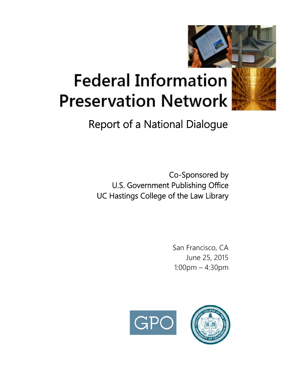

# **Federal Information Preservation Network**

# Report of a National Dialogue

Co-Sponsored by U.S. Government Publishing Office UC Hastings College of the Law Library

> San Francisco, CA June 25, 2015 1:00pm – 4:30pm

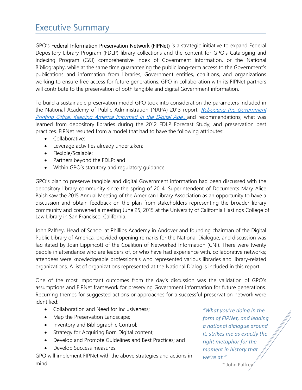# Executive Summary

GPO's Federal Information Preservation Network (FIPNet) is a strategic initiative to expand Federal Depository Library Program (FDLP) library collections and the content for GPO's Cataloging and Indexing Program (C&I) comprehensive index of Government information, or the National Bibliography, while at the same time guaranteeing the public long-term access to the Government's publications and information from libraries, Government entities, coalitions, and organizations working to ensure free access for future generations. GPO in collaboration with its FIPNet partners will contribute to the preservation of both tangible and digital Government information.

To build a sustainable preservation model GPO took into consideration the parameters included in the National Academy of Public Administration (NAPA) 2013 report, Rebooting the Government Printing Office: Keeping America Informed in the Digital Age., and recommendations; what was learned from depository libraries during the 2012 FDLP Forecast Study; and preservation best practices. FIPNet resulted from a model that had to have the following attributes:

- Collaborative;
- Leverage activities already undertaken;
- Flexible/Scalable;
- Partners beyond the FDLP; and
- Within GPO's statutory and regulatory guidance.

GPO's plan to preserve tangible and digital Government information had been discussed with the depository library community since the spring of 2014. Superintendent of Documents Mary Alice Baish saw the 2015 Annual Meeting of the American Library Association as an opportunity to have a discussion and obtain feedback on the plan from stakeholders representing the broader library community and convened a meeting June 25, 2015 at the University of California Hastings College of Law Library in San Francisco, California.

John Palfrey, Head of School at Phillips Academy in Andover and founding chairman of the Digital Public Library of America, provided opening remarks for the National Dialogue, and discussion was facilitated by Joan Lippincott of the Coalition of Networked Information (CNI). There were twenty people in attendance who are leaders of, or who have had experience with, collaborative networks; attendees were knowledgeable professionals who represented various libraries and library-related organizations. A list of organizations represented at the National Dialog is included in this report.

One of the most important outcomes from the day's discussion was the validation of GPO's assumptions and FIPNet framework for preserving Government information for future generations. Recurring themes for suggested actions or approaches for a successful preservation network were identified:

- Collaboration and Need for Inclusiveness;
- Map the Preservation Landscape;
- Inventory and Bibliographic Control;
- Strategy for Acquiring Born Digital content;
- Develop and Promote Guidelines and Best Practices; and
- Develop Success measures.

GPO will implement FIPNet with the above strategies and actions in mind.

*"What you're doing in the form of FIPNet, and leading a national dialogue around it, strikes me as exactly the right metaphor for the moment in history that we're at."*

~ John Palfrey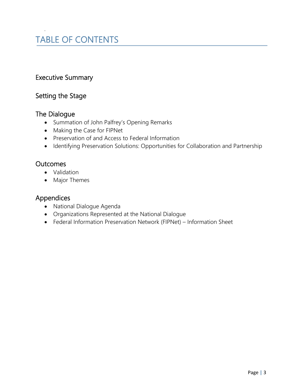# TABLE OF CONTENTS

# Executive Summary

# Setting the Stage

### The Dialogue

.

- Summation of John Palfrey's Opening Remarks
- Making the Case for FIPNet
- Preservation of and Access to Federal Information
- Identifying Preservation Solutions: Opportunities for Collaboration and Partnership

### **Outcomes**

- Validation
- Major Themes

### Appendices

- National Dialogue Agenda
- Organizations Represented at the National Dialogue
- Federal Information Preservation Network (FIPNet) Information Sheet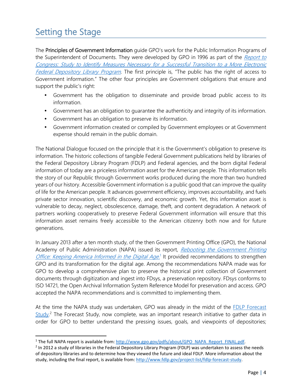# Setting the Stage

The Principles of Government Information guide GPO's work for the Public Information Programs of the Superintendent of Documents. They were developed by GPO in 1996 as part of the Report to Congress: Study to Identify Measures Necessary for a Successful Transition to a More Electronic Federal Depository Library Program. The first principle is, "The public has the right of access to Government information." The other four principles are Government obligations that ensure and support the public's right:

- Government has the obligation to disseminate and provide broad public access to its information.
- Government has an obligation to guarantee the authenticity and integrity of its information.
- Government has an obligation to preserve its information.
- Government information created or compiled by Government employees or at Government expense should remain in the public domain.

The National Dialogue focused on the principle that it is the Government's obligation to preserve its information. The historic collections of tangible Federal Government publications held by libraries of the Federal Depository Library Program (FDLP) and Federal agencies, and the born digital Federal information of today are a priceless information asset for the American people. This information tells the story of our Republic through Government works produced during the more than two hundred years of our history. Accessible Government information is a public good that can improve the quality of life for the American people. It advances government efficiency, improves accountability, and fuels private sector innovation, scientific discovery, and economic growth. Yet, this information asset is vulnerable to decay, neglect, obsolescence, damage, theft, and content degradation. A network of partners working cooperatively to preserve Federal Government information will ensure that this information asset remains freely accessible to the American citizenry both now and for future generations.

In January 2013 after a ten month study, of the then Government Printing Office (GPO), the National Academy of Public Administration (NAPA) issued its report, Rebooting the Government Printing Office: Keeping America Informed in the Digital Age.<sup>1</sup> It provided recommendations to strengthen GPO and its transformation for the digital age. Among the recommendations NAPA made was for GPO to develop a comprehensive plan to preserve the historical print collection of Government documents through digitization and ingest into FDsys, a preservation repository. FDsys conforms to ISO 14721, the Open Archival Information System Reference Model for preservation and access. GPO accepted the NAPA recommendations and is committed to implementing them.

At the time the NAPA study was undertaken, GPO was already in the midst of the FDLP Forecast Study.<sup>2</sup> The Forecast Study, now complete, was an important research initiative to gather data in order for GPO to better understand the pressing issues, goals, and viewpoints of depositories;

<sup>&</sup>lt;sup>1</sup> The full NAPA report is available from: http://www.gpo.gov/pdfs/about/GPO\_NAPA\_Report\_FINAL.pdf.

<sup>&</sup>lt;sup>2</sup> In 2012 a study of libraries in the Federal Depository Library Program (FDLP) was undertaken to assess the needs of depository libraries and to determine how they viewed the future and ideal FDLP. More information about the study, including the final report, is available from: http://www.fdlp.gov/project-list/fdlp-forecast-study.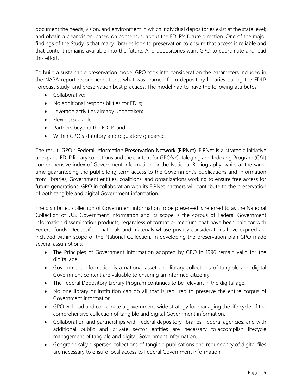document the needs, vision, and environment in which individual depositories exist at the state level; and obtain a clear vision, based on consensus, about the FDLP's future direction. One of the major findings of the Study is that many libraries look to preservation to ensure that access is reliable and that content remains available into the future. And depositories want GPO to coordinate and lead this effort.

To build a sustainable preservation model GPO took into consideration the parameters included in the NAPA report recommendations, what was learned from depository libraries during the FDLP Forecast Study, and preservation best practices. The model had to have the following attributes:

- Collaborative:
- No additional responsibilities for FDLs;
- Leverage activities already undertaken;
- Flexible/Scalable;
- Partners beyond the FDLP; and
- Within GPO's statutory and regulatory guidance.

The result, GPO's Federal Information Preservation Network (FIPNet). FIPNet is a strategic initiative to expand FDLP library collections and the content for GPO's Cataloging and Indexing Program (C&I) comprehensive index of Government information, or the National Bibliography, while at the same time guaranteeing the public long-term access to the Government's publications and information from libraries, Government entities, coalitions, and organizations working to ensure free access for future generations. GPO in collaboration with its FIPNet partners will contribute to the preservation of both tangible and digital Government information.

The distributed collection of Government information to be preserved is referred to as the National Collection of U.S. Government Information and its scope is the corpus of Federal Government information dissemination products, regardless of format or medium, that have been paid for with Federal funds. Declassified materials and materials whose privacy considerations have expired are included within scope of the National Collection. In developing the preservation plan GPO made several assumptions:

- The Principles of Government Information adopted by GPO in 1996 remain valid for the digital age.
- Government information is a national asset and library collections of tangible and digital Government content are valuable to ensuring an informed citizenry.
- The Federal Depository Library Program continues to be relevant in the digital age.
- No one library or institution can do all that is required to preserve the entire corpus of Government information.
- GPO will lead and coordinate a government-wide strategy for managing the life cycle of the comprehensive collection of tangible and digital Government information.
- Collaboration and partnerships with Federal depository libraries, Federal agencies, and with additional public and private sector entities are necessary to accomplish lifecycle management of tangible and digital Government information.
- Geographically dispersed collections of tangible publications and redundancy of digital files are necessary to ensure local access to Federal Government information.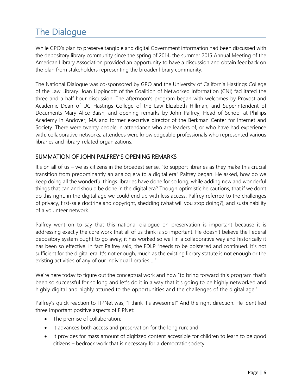# The Dialogue

While GPO's plan to preserve tangible and digital Government information had been discussed with the depository library community since the spring of 2014, the summer 2015 Annual Meeting of the American Library Association provided an opportunity to have a discussion and obtain feedback on the plan from stakeholders representing the broader library community.

The National Dialogue was co-sponsored by GPO and the University of California Hastings College of the Law Library. Joan Lippincott of the Coalition of Networked Information (CNI) facilitated the three and a half hour discussion. The afternoon's program began with welcomes by Provost and Academic Dean of UC Hastings College of the Law Elizabeth Hillman, and Superintendent of Documents Mary Alice Baish, and opening remarks by John Palfrey, Head of School at Phillips Academy in Andover, MA and former executive director of the Berkman Center for Internet and Society. There were twenty people in attendance who are leaders of, or who have had experience with, collaborative networks; attendees were knowledgeable professionals who represented various libraries and library-related organizations.

### SUMMATION OF JOHN PALFREY'S OPENING REMARKS

It's on all of us – we as citizens in the broadest sense, "to support libraries as they make this crucial transition from predominantly an analog era to a digital era" Palfrey began. He asked, how do we keep doing all the wonderful things libraries have done for so long, while adding new and wonderful things that can and should be done in the digital era? Though optimistic he cautions, that if we don't do this right, in the digital age we could end up with less access. Palfrey referred to the challenges of privacy, first-sale doctrine and copyright, shedding (what will you stop doing?), and sustainability of a volunteer network.

Palfrey went on to say that this national dialogue on preservation is important because it is addressing exactly the core work that all of us think is so important. He doesn't believe the Federal depository system ought to go away; it has worked so well in a collaborative way and historically it has been so effective. In fact Palfrey said, the FDLP "needs to be bolstered and continued. It's not sufficient for the digital era. It's not enough, much as the existing library statute is not enough or the existing activities of any of our individual libraries …"

We're here today to figure out the conceptual work and how "to bring forward this program that's been so successful for so long and let's do it in a way that it's going to be highly networked and highly digital and highly attuned to the opportunities and the challenges of the digital age."

Palfrey's quick reaction to FIPNet was, "I think it's awesome!" And the right direction. He identified three important positive aspects of FIPNet:

- The premise of collaboration;
- It advances both access and preservation for the long run; and
- It provides for mass amount of digitized content accessible for children to learn to be good citizens – bedrock work that is necessary for a democratic society.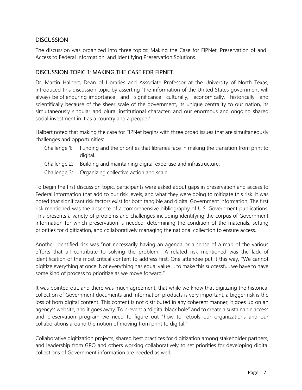### **DISCUSSION**

The discussion was organized into three topics: Making the Case for FIPNet, Preservation of and Access to Federal Information, and Identifying Preservation Solutions.

### DISCUSSION TOPIC 1: MAKING THE CASE FOR FIPNET

Dr. Martin Halbert, Dean of Libraries and Associate Professor at the University of North Texas, introduced this discussion topic by asserting "the information of the United States government will always be of enduring importance and significance culturally, economically, historically and scientifically because of the sheer scale of the government, its unique centrality to our nation, its simultaneously singular and plural institutional character, and our enormous and ongoing shared social investment in it as a country and a people."

Halbert noted that making the case for FIPNet begins with three broad issues that are simultaneously challenges and opportunities:

- Challenge 1: Funding and the priorities that libraries face in making the transition from print to digital.
- Challenge 2: Building and maintaining digital expertise and infrastructure.
- Challenge 3: Organizing collective action and scale.

To begin the first discussion topic, participants were asked about gaps in preservation and access to Federal information that add to our risk levels, and what they were doing to mitigate this risk. It was noted that significant risk factors exist for both tangible and digital Government information. The first risk mentioned was the absence of a comprehensive bibliography of U.S. Government publications. This presents a variety of problems and challenges including identifying the corpus of Government information for which preservation is needed, determining the condition of the materials, setting priorities for digitization, and collaboratively managing the national collection to ensure access.

Another identified risk was "not necessarily having an agenda or a sense of a map of the various efforts that all contribute to solving the problem." A related risk mentioned was the lack of identification of the most critical content to address first. One attendee put it this way, "We cannot digitize everything at once. Not everything has equal value … to make this successful, we have to have some kind of process to prioritize as we move forward."

It was pointed out, and there was much agreement, that while we know that digitizing the historical collection of Government documents and information products is very important, a bigger risk is the loss of born digital content. This content is not distributed in any coherent manner; it goes up on an agency's website, and it goes away. To prevent a "digital black hole" and to create a sustainable access and preservation program we need to figure out "how to retools our organizations and our collaborations around the notion of moving from print to digital."

Collaborative digitization projects, shared best practices for digitization among stakeholder partners, and leadership from GPO and others working collaboratively to set priorities for developing digital collections of Government information are needed as well.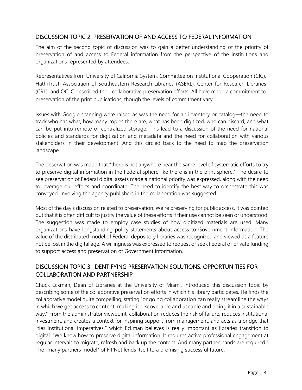### DISCUSSION TOPIC 2: PRESERVATION OF AND ACCESS TO FEDERAL INFORMATION

The aim of the second topic of discussion was to gain a better understanding of the priority of preservation of and access to Federal information from the perspective of the institutions and organizations represented by attendees.

Representatives from University of California System, Committee on Institutional Cooperation (CIC), HathiTrust, Association of Southeastern Research Libraries (ASERL), Center for Research Libraries (CRL), and OCLC described their collaborative preservation efforts. All have made a commitment to preservation of the print publications, though the levels of commitment vary.

Issues with Google scanning were raised as was the need for an inventory or catalog—the need to track who has what, how many copies there are, what has been digitized, who can discard, and what can be put into remote or centralized storage. This lead to a discussion of the need for national policies and standards for digitization and metadata and the need for collaboration with various stakeholders in their development. And this circled back to the need to map the preservation landscape.

The observation was made that "there is not anywhere near the same level of systematic efforts to try to preserve digital information in the Federal sphere like there is in the print sphere." The desire to see preservation of Federal digital assets made a national priority was expressed, along with the need to leverage our efforts and coordinate. The need to identify the best way to orchestrate this was conveyed. Involving the agency publishers in the collaboration was suggested.

Most of the day's discussion related to preservation. We're preserving for public access. It was pointed out that it is often difficult to justify the value of these efforts if their use cannot be seen or understood. The suggestion was made to employ case studies of how digitized materials are used. Many organizations have longstanding policy statements about access to Government information. The value of the distributed model of Federal depository libraries was recognized and viewed as a feature not be lost in the digital age. A willingness was expressed to request or seek Federal or private funding to support access and preservation of Government information.

### DISCUSSION TOPIC 3: IDENTIFYING PRESERVATION SOLUTIONS: OPPORTUNITIES FOR COLLABORATION AND PARTNERSHIP

Chuck Eckman, Dean of Libraries at the University of Miami, introduced this discussion topic by describing some of the collaborative preservation efforts in which his library participates. He finds the collaborative model quite compelling, stating "ongoing collaboration can really streamline the ways in which we get access to content, making it discoverable and useable and doing it in a sustainable way." From the administrator viewpoint, collaboration reduces the risk of failure, reduces institutional investment, and creates a context for inspiring support from management, and acts as a bridge that "ties institutional imperatives," which Eckman believes is really important as libraries transition to digital. "We know how to preserve digital information. It requires active professional engagement at regular intervals to migrate, refresh and back up the content. And many partner hands are required." The "many partners model" of FIPNet lends itself to a promising successful future.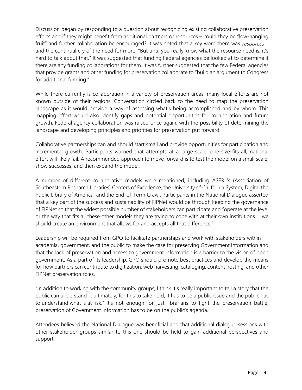Discussion began by responding to a question about recognizing existing collaborative preservation efforts and if they might benefit from additional partners or resources – could they be "low-hanging fruit" and further collaboration be encouraged? It was noted that a key word there was resources – and the continual cry of the need for more. "But until you really know what the resource need is, it's hard to talk about that." It was suggested that funding Federal agencies be looked at to determine if there are any funding collaborations for them. It was further suggested that the few Federal agencies that provide grants and other funding for preservation collaborate to "build an argument to Congress for additional funding."

While there currently is collaboration in a variety of preservation areas, many local efforts are not known outside of their regions. Conversation circled back to the need to map the preservation landscape as it would provide a way of assessing what's being accomplished and by whom. This mapping effort would also identify gaps and potential opportunities for collaboration and future growth. Federal agency collaboration was raised once again, with the possibility of determining the landscape and developing principles and priorities for preservation put forward.

Collaborative partnerships can and should start small and provide opportunities for participation and incremental growth. Participants warned that attempts at a large-scale, one-size-fits-all, national effort will likely fail. A recommended approach to move forward is to test the model on a small scale, show successes, and then expand the model.

A number of different collaborative models were mentioned, including ASERL's (Association of Southeastern Research Libraries) Centers of Excellence, the University of California System, Digital the Public Library of America, and the End-of-Term Crawl. Participants in the National Dialogue asserted that a key part of the success and sustainability of FIPNet would be through keeping the governance of FIPNet so that the widest possible number of stakeholders can participate and "operate at the level or the way that fits all these other models they are trying to cope with at their own institutions … we should create an environment that allows for and accepts all that difference."

Leadership will be required from GPO to facilitate partnerships and work with stakeholders within academia, government, and the public to make the case for preserving Government information and that the lack of preservation and access to government information is a barrier to the vision of open government. As a part of its leadership, GPO should promote best practices and develop the means for how partners can contribute to digitization, web harvesting, cataloging, content hosting, and other FIPNet preservation roles.

"In addition to working with the community groups, I think it's really important to tell a story that the public can understand … ultimately, for this to take hold, it has to be a public issue and the public has to understand what is at risk." It's not enough for just librarians to fight the preservation battle, preservation of Government information has to be on the public's agenda.

Attendees believed the National Dialogue was beneficial and that additional dialogue sessions with other stakeholder groups similar to this one should be held to gain additional perspectives and support.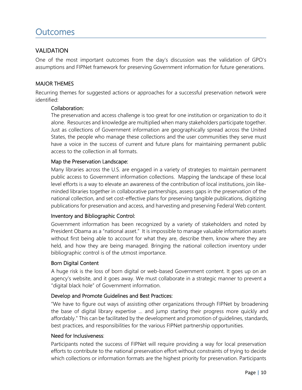### VALIDATION

One of the most important outcomes from the day's discussion was the validation of GPO's assumptions and FIPNet framework for preserving Government information for future generations.

### MAJOR THEMES

Recurring themes for suggested actions or approaches for a successful preservation network were identified:

### Collaboration:

The preservation and access challenge is too great for one institution or organization to do it alone. Resources and knowledge are multiplied when many stakeholders participate together. Just as collections of Government information are geographically spread across the United States, the people who manage these collections and the user communities they serve must have a voice in the success of current and future plans for maintaining permanent public access to the collection in all formats.

### Map the Preservation Landscape:

Many libraries across the U.S. are engaged in a variety of strategies to maintain permanent public access to Government information collections. Mapping the landscape of these local level efforts is a way to elevate an awareness of the contribution of local institutions, join likeminded libraries together in collaborative partnerships, assess gaps in the preservation of the national collection, and set cost-effective plans for preserving tangible publications, digitizing publications for preservation and access, and harvesting and preserving Federal Web content.

### Inventory and Bibliographic Control:

Government information has been recognized by a variety of stakeholders and noted by President Obama as a "national asset." It is impossible to manage valuable information assets without first being able to account for what they are, describe them, know where they are held, and how they are being managed. Bringing the national collection inventory under bibliographic control is of the utmost importance.

### Born Digital Content

A huge risk is the loss of born digital or web-based Government content. It goes up on an agency's website, and it goes away. We must collaborate in a strategic manner to prevent a "digital black hole" of Government information.

### Develop and Promote Guidelines and Best Practices:

"We have to figure out ways of assisting other organizations through FIPNet by broadening the base of digital library expertise … and jump starting their progress more quickly and affordably." This can be facilitated by the development and promotion of guidelines, standards, best practices, and responsibilities for the various FIPNet partnership opportunities.

### Need for Inclusiveness:

Participants noted the success of FIPNet will require providing a way for local preservation efforts to contribute to the national preservation effort without constraints of trying to decide which collections or information formats are the highest priority for preservation. Participants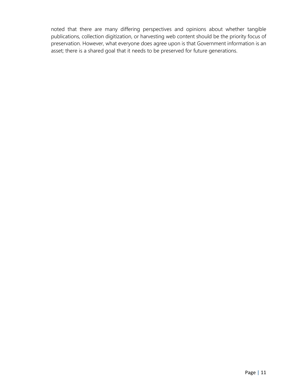noted that there are many differing perspectives and opinions about whether tangible publications, collection digitization, or harvesting web content should be the priority focus of preservation. However, what everyone does agree upon is that Government information is an asset; there is a shared goal that it needs to be preserved for future generations.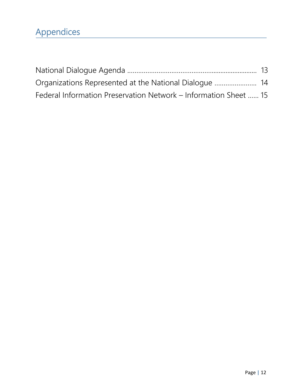| Federal Information Preservation Network – Information Sheet  15 |  |
|------------------------------------------------------------------|--|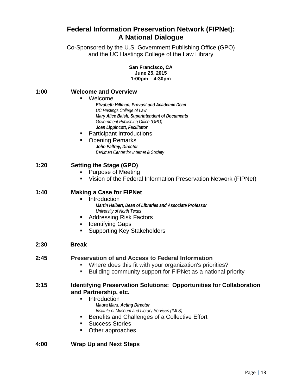## **Federal Information Preservation Network (FIPNet): A National Dialogue**

Co-Sponsored by the U.S. Government Publishing Office (GPO) and the UC Hastings College of the Law Library

> **San Francisco, CA June 25, 2015 1:00pm – 4:30pm**

### **1:00 Welcome and Overview**

### Welcome

*Elizabeth Hillman, Provost and Academic Dean UC Hastings College of Law Mary Alice Baish, Superintendent of Documents Government Publishing Office (GPO) Joan Lippincott, Facilitator* 

Participant Introductions

#### Opening Remarks *John Palfrey, Director Berkman Center for Internet & Society*

### **1:20 Setting the Stage (GPO)**

- Purpose of Meeting
- Vision of the Federal Information Preservation Network (FIPNet)

### **1:40 Making a Case for FIPNet**

- **Introduction** *Martin Halbert, Dean of Libraries and Associate Professor University of North Texas*
- Addressing Risk Factors
- **Identifying Gaps**
- **Supporting Key Stakeholders**

### **2:30 Break**

### **2:45 Preservation of and Access to Federal Information**

- Where does this fit with your organization's priorities?
- **Building community support for FIPNet as a national priority**

#### **3:15 Identifying Preservation Solutions: Opportunities for Collaboration and Partnership, etc.**

- **Introduction** *Maura Marx, Acting Director Institute of Museum and Library Services (IMLS)*
- **Benefits and Challenges of a Collective Effort**
- **Success Stories**
- Other approaches

### **4:00 Wrap Up and Next Steps**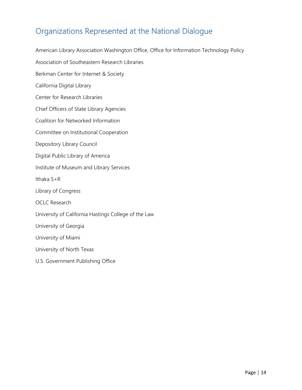# Organizations Represented at the National Dialogue

American Library Association Washington Office, Office for Information Technology Policy Association of Southeastern Research Libraries Berkman Center for Internet & Society California Digital Library Center for Research Libraries Chief Officers of State Library Agencies Coalition for Networked Information Committee on Institutional Cooperation Depository Library Council Digital Public Library of America Institute of Museum and Library Services Ithaka S+R Library of Congress OCLC Research University of California Hastings College of the Law University of Georgia University of Miami University of North Texas U.S. Government Publishing Office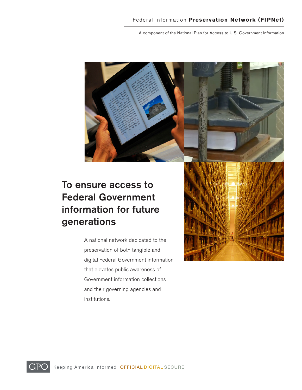A component of the National Plan for Access to U.S. Government Information

# To ensure access to Federal Government information for future generations

A national network dedicated to the preservation of both tangible and digital Federal Government information that elevates public awareness of Government information collections and their governing agencies and institutions.